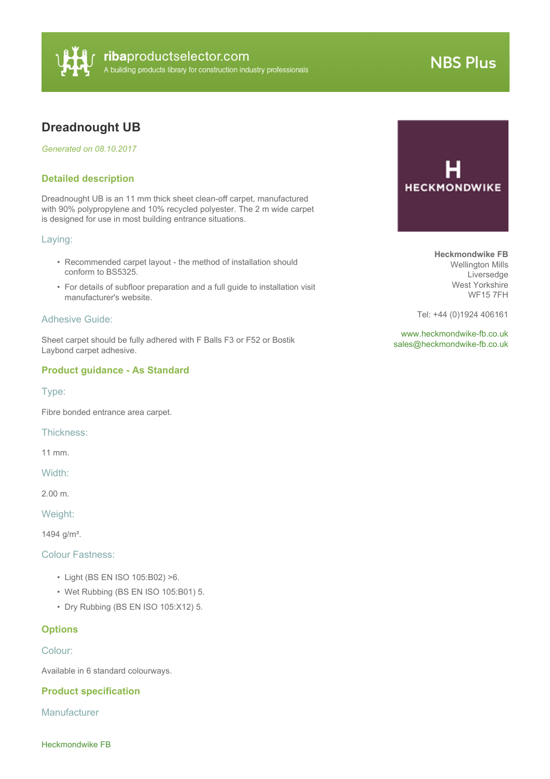

# **NBS Plus**

# **Dreadnought UB**

*Generated on 08.10.2017*

## **Detailed description**

Dreadnought UB is an 11 mm thick sheet clean-off carpet, manufactured with 90% polypropylene and 10% recycled polyester. The 2 m wide carpet is designed for use in most building entrance situations.

#### Laying:

- Recommended carpet layout the method of installation should conform to BS5325.
- For details of subfloor preparation and a full guide to installation visit manufacturer's website.

#### Adhesive Guide:

Sheet carpet should be fully adhered with F Balls F3 or F52 or Bostik Laybond carpet adhesive.

#### **Product guidance - As Standard**

Type:

Fibre bonded entrance area carpet.

Thickness:

11 mm.

Width:

2.00 m.

Weight:

1494 g/m².

## Colour Fastness:

- Light (BS EN ISO 105:B02) >6.
- Wet Rubbing (BS EN ISO 105:B01) 5.
- Dry Rubbing (BS EN ISO 105:X12) 5.

# **Options**

Colour:

Available in 6 standard colourways.

#### **Product specification**

**Manufacturer** 



**Heckmondwike FB** Wellington Mills Liversedge West Yorkshire WF15 7FH

Tel: +44 (0)1924 406161

<www.heckmondwike-fb.co.uk> [sales@heckmondwike-fb.co.uk](mailto:sales@heckmondwike-fb.co.uk?subject=Dreadnought UB)